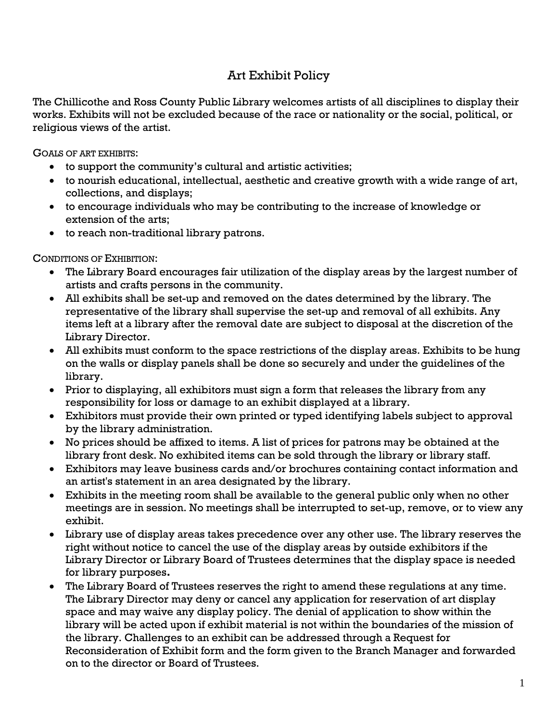# Art Exhibit Policy

The Chillicothe and Ross County Public Library welcomes artists of all disciplines to display their works. Exhibits will not be excluded because of the race or nationality or the social, political, or religious views of the artist.

GOALS OF ART EXHIBITS:

- to support the community's cultural and artistic activities;
- to nourish educational, intellectual, aesthetic and creative growth with a wide range of art, collections, and displays;
- to encourage individuals who may be contributing to the increase of knowledge or extension of the arts;
- to reach non-traditional library patrons.

CONDITIONS OF EXHIBITION:

- The Library Board encourages fair utilization of the display areas by the largest number of artists and crafts persons in the community.
- All exhibits shall be set-up and removed on the dates determined by the library. The representative of the library shall supervise the set-up and removal of all exhibits. Any items left at a library after the removal date are subject to disposal at the discretion of the Library Director.
- All exhibits must conform to the space restrictions of the display areas. Exhibits to be hung on the walls or display panels shall be done so securely and under the guidelines of the library.
- Prior to displaying, all exhibitors must sign a form that releases the library from any responsibility for loss or damage to an exhibit displayed at a library.
- Exhibitors must provide their own printed or typed identifying labels subject to approval by the library administration.
- No prices should be affixed to items. A list of prices for patrons may be obtained at the library front desk. No exhibited items can be sold through the library or library staff.
- Exhibitors may leave business cards and/or brochures containing contact information and an artist's statement in an area designated by the library.
- Exhibits in the meeting room shall be available to the general public only when no other meetings are in session. No meetings shall be interrupted to set-up, remove, or to view any exhibit.
- Library use of display areas takes precedence over any other use. The library reserves the right without notice to cancel the use of the display areas by outside exhibitors if the Library Director or Library Board of Trustees determines that the display space is needed for library purposes**.**
- The Library Board of Trustees reserves the right to amend these regulations at any time. The Library Director may deny or cancel any application for reservation of art display space and may waive any display policy. The denial of application to show within the library will be acted upon if exhibit material is not within the boundaries of the mission of the library. Challenges to an exhibit can be addressed through a Request for Reconsideration of Exhibit form and the form given to the Branch Manager and forwarded on to the director or Board of Trustees.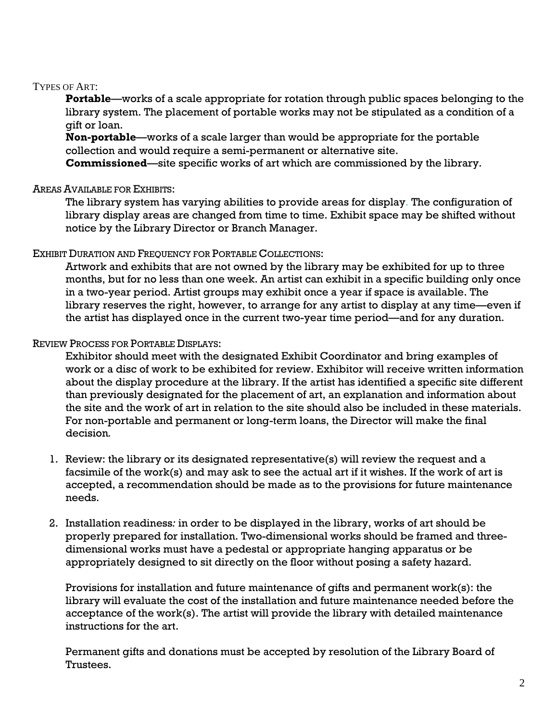#### TYPES OF ART:

**Portable**—works of a scale appropriate for rotation through public spaces belonging to the library system. The placement of portable works may not be stipulated as a condition of a gift or loan.

**Non-portable**—works of a scale larger than would be appropriate for the portable collection and would require a semi-permanent or alternative site.

**Commissioned**—site specific works of art which are commissioned by the library.

#### AREAS AVAILABLE FOR EXHIBITS:

The library system has varying abilities to provide areas for display. The configuration of library display areas are changed from time to time. Exhibit space may be shifted without notice by the Library Director or Branch Manager.

#### EXHIBIT DURATION AND FREQUENCY FOR PORTABLE COLLECTIONS:

Artwork and exhibits that are not owned by the library may be exhibited for up to three months, but for no less than one week. An artist can exhibit in a specific building only once in a two-year period. Artist groups may exhibit once a year if space is available. The library reserves the right, however, to arrange for any artist to display at any time—even if the artist has displayed once in the current two-year time period—and for any duration.

### REVIEW PROCESS FOR PORTABLE DISPLAYS:

Exhibitor should meet with the designated Exhibit Coordinator and bring examples of work or a disc of work to be exhibited for review. Exhibitor will receive written information about the display procedure at the library. If the artist has identified a specific site different than previously designated for the placement of art, an explanation and information about the site and the work of art in relation to the site should also be included in these materials. For non-portable and permanent or long-term loans, the Director will make the final decision*.*

- 1. Review: the library or its designated representative(s) will review the request and a facsimile of the work(s) and may ask to see the actual art if it wishes. If the work of art is accepted, a recommendation should be made as to the provisions for future maintenance needs.
- 2. Installation readiness*:* in order to be displayed in the library, works of art should be properly prepared for installation. Two-dimensional works should be framed and threedimensional works must have a pedestal or appropriate hanging apparatus or be appropriately designed to sit directly on the floor without posing a safety hazard.

Provisions for installation and future maintenance of gifts and permanent work(s): the library will evaluate the cost of the installation and future maintenance needed before the acceptance of the work(s). The artist will provide the library with detailed maintenance instructions for the art.

Permanent gifts and donations must be accepted by resolution of the Library Board of Trustees.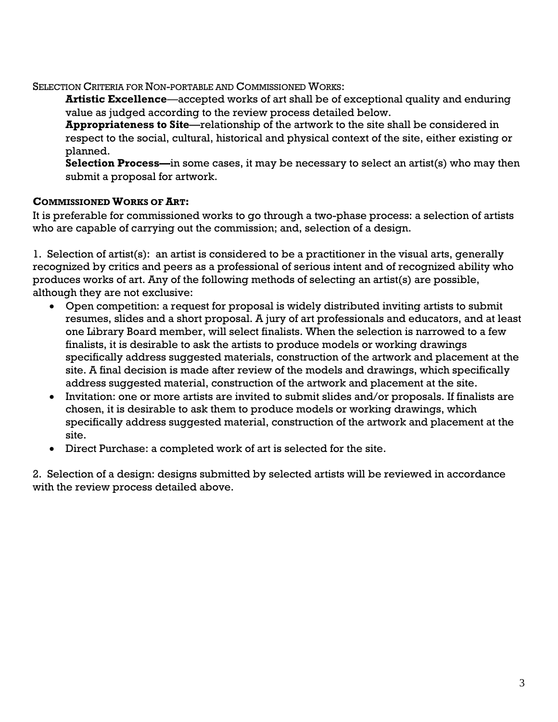SELECTION CRITERIA FOR NON-PORTABLE AND COMMISSIONED WORKS:

**Artistic Excellence***—*accepted works of art shall be of exceptional quality and enduring value as judged according to the review process detailed below.

**Appropriateness to Site**—relationship of the artwork to the site shall be considered in respect to the social, cultural, historical and physical context of the site, either existing or planned.

**Selection Process—**in some cases, it may be necessary to select an artist(s) who may then submit a proposal for artwork.

## **COMMISSIONED WORKS OF ART:**

It is preferable for commissioned works to go through a two-phase process: a selection of artists who are capable of carrying out the commission; and, selection of a design.

1. Selection of artist(s): an artist is considered to be a practitioner in the visual arts, generally recognized by critics and peers as a professional of serious intent and of recognized ability who produces works of art. Any of the following methods of selecting an artist(s) are possible, although they are not exclusive:

- Open competition: a request for proposal is widely distributed inviting artists to submit resumes, slides and a short proposal. A jury of art professionals and educators, and at least one Library Board member, will select finalists. When the selection is narrowed to a few finalists, it is desirable to ask the artists to produce models or working drawings specifically address suggested materials, construction of the artwork and placement at the site. A final decision is made after review of the models and drawings, which specifically address suggested material, construction of the artwork and placement at the site.
- Invitation: one or more artists are invited to submit slides and/or proposals. If finalists are chosen, it is desirable to ask them to produce models or working drawings, which specifically address suggested material, construction of the artwork and placement at the site.
- Direct Purchase: a completed work of art is selected for the site.

2. Selection of a design: designs submitted by selected artists will be reviewed in accordance with the review process detailed above.